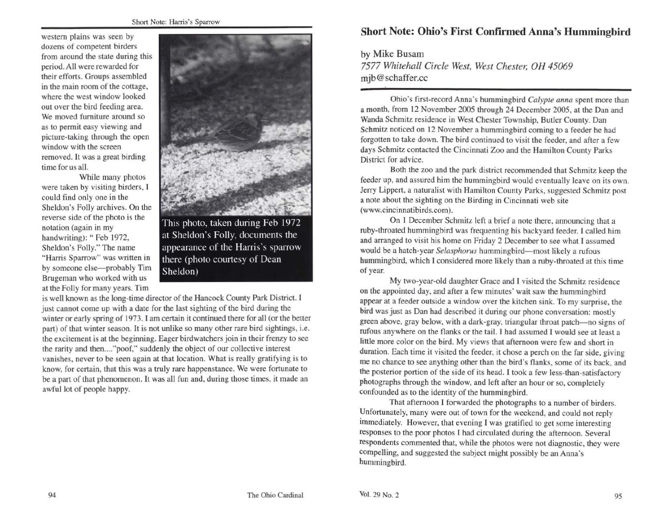western plains was seen by dozens of competent birders from around the state during this period. AJI were rewarded for their efforts. Groups assembled in the majn room of the cottage, where the west window looked out over the bird feeding area. We moved furniture around so as to permit easy viewing and picture-taking through the open window with the screen removed. It was a great birding time for us all.

While many photos were taken by visiting birders, I could find only one in the Sheldon's Folly archives. On the reverse side of the photo is the notation (again in my handwriting): "Feb 1972, Sheldon's Folly." The name "Harris Sparrow" was written in by someone else-probably Tim Brugeman who worked with us at the Folly for many years. Tim



This photo, taken during Feb 1972 at Sheldon's Folly, documents the appearance of the Harris's sparrow there (photo courtesy of Dean Sheldon)

is well known as the long-time director of the Hancock County Park District. I just cannot come up with a date for the last sighting of the bird during the winter or early spring of 1973. I am certain it continued there for all (or the better part) of that winter season. It is not unlike so many other rare bird sightings, i.e. the excitement is at the beginning. Eager birdwatchers join in their frenzy to see the rarity and then...."poof," suddenly the object of our collective interest vanishes, never to be seen again at that location. What is really gratifying is to know, for certain, that this was a truly rare happenstance. We were fortunate to be a part of that phenomenon. It was all fun and, during those times, it made an awful lot of people happy.

# **Short Note: Ohio's First Confirmed Anna's Hummingbird**

by Mike Busam 7577 *Whitehall Circle West, West Chester, OH 45069*  mjb@schaffer.cc

Ohio's first-record Anna's hummingbird *Calypte anna* spent more than a month, from 12 November 2005 through 24 December 2005, at the Dan and Wanda Schmitz residence in West Chester Township, Butler County. Dan Schmitz noticed on 12 November a hummingbird coming to a feeder he had forgotten to take down. The bird continued to visit the feeder, and after a few days Schmitz contacted the Cincinnati Zoo and the Hamilton County Parks District for advice.

Both the zoo and the park district recommended that Schmitz keep the feeder up, and assured him the hummingbird would eventually leave on its own. Jerry Lippert, a naturalist with Hamilton County Parks, suggested Schmitz post a note about the sighting on the Birding in Cincinnati web site (www.cincinnatibirds.com).

On l December Schmitz left a brief a note there, announcing that a ruby-throated hummingbird was frequenting his backyard feeder. l called him and arranged to visit his home on Friday 2 December to see what J assumed would be a hatch-year *Selasphorus* hummingbird-most likely a rufous hummingbird, which l considered more likely than a ruby-throated at this time of year.

My two-year-old daughter Grace and I visited the Schmitz residence on the appointed day, and after a few minutes' wait saw the hummingbird appear at a feeder outside a window over the kitchen sink. To my surprise, the bird was just as Dan had described it during our phone conversation: mostly green above, gray below, with a dark-gray, triangular throat patch-no signs of rufous anywhere on the flanks or the tail. I had assumed I would see at least a little more color on the bird. My views that afternoon were few and short in duration. Each time it visited the feeder, it chose a perch on the far side, giving me no chance to see anything other than the bird's flanks, some of its back, and the posterior portion of the side of its head. I took a few less-than-satisfactory photographs through the window, and left after an hour or so, completely confounded as to the identity of the hummingbird.

That afternoon I forwarded the photographs to a number of birders. Unfortunately, many were out of town for the weekend, and could not reply immediately. However, that evening J was gratified to get some interesting responses to the poor photos I had circulated during the afternoon. Several respondents commented that, while the photos were not diagnostic, they were compelling, and suggested the subject might possibly be an Anna's hummingbird.